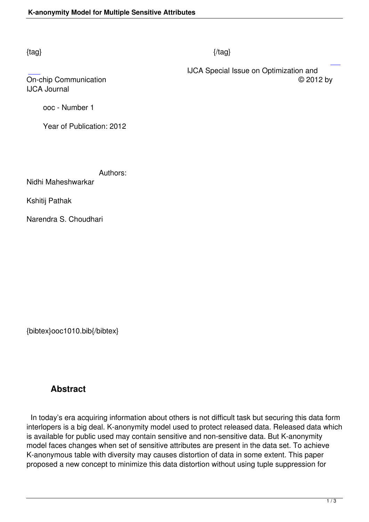#### $\{tag\}$

IJCA Journal

 IJCA Special Issue on Optimization and On-chip Communication © 2012 by

ooc - Number 1

Year of Publication: 2012

Authors:

Nidhi Maheshwarkar

Kshitij Pathak

Narendra S. Choudhari

{bibtex}ooc1010.bib{/bibtex}

# **Abstract**

 In today's era acquiring information about others is not difficult task but securing this data form interlopers is a big deal. K-anonymity model used to protect released data. Released data which is available for public used may contain sensitive and non-sensitive data. But K-anonymity model faces changes when set of sensitive attributes are present in the data set. To achieve K-anonymous table with diversity may causes distortion of data in some extent. This paper proposed a new concept to minimize this data distortion without using tuple suppression for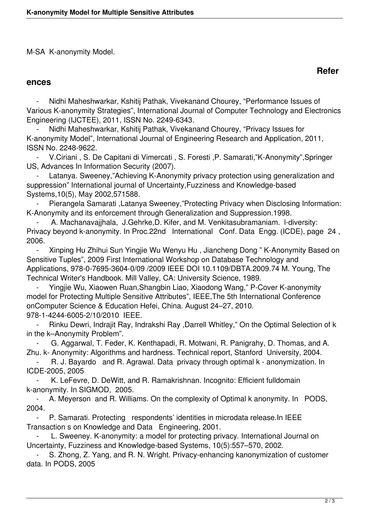M-SA K-anonymity Model.

#### **ences**

Nidhi Maheshwarkar, Kshitij Pathak, Vivekanand Chourey, "Performance Issues of Various K-anonymity Strategies", International Journal of Computer Technology and Electronics Engineering (IJCTEE), 2011, ISSN No. 2249-6343.

 - Nidhi Maheshwarkar, Kshitij Pathak, Vivekanand Chourey, "Privacy Issues for K-anonymity Model", International Journal of Engineering Research and Application, 2011, ISSN No. 2248-9622.

 - V.Ciriani , S. De Capitani di Vimercati , S. Foresti ,P. Samarati,"K-Anonymity",Springer US, Advances In Information Security (2007).

Latanya. Sweeney,"Achieving K-Anonymity privacy protection using generalization and suppression" International journal of Uncertainty,Fuzziness and Knowledge-based Systems,10(5), May 2002,571588.

Pierangela Samarati ,Latanya Sweeney,"Protecting Privacy when Disclosing Information: K-Anonymity and its enforcement through Generalization and Suppression.1998.

A. Machanavajjhala, J.Gehrke,D. Kifer, and M. Venkitasubramaniam. I-diversity: Privacy beyond k-anonymity. In Proc.22nd International Conf. Data Engg. (ICDE), page 24 , 2006.

 - Xinping Hu Zhihui Sun Yingjie Wu Wenyu Hu , Jiancheng Dong " K-Anonymity Based on Sensitive Tuples", 2009 First International Workshop on Database Technology and Applications, 978-0-7695-3604-0/09 /2009 IEEE DOI 10.1109/DBTA.2009.74 M. Young, The Technical Writer's Handbook. Mill Valley, CA: University Science, 1989.

 - Yingjie Wu, Xiaowen Ruan,Shangbin Liao, Xiaodong Wang," P-Cover K-anonymity model for Protecting Multiple Sensitive Attributes", IEEE,The 5th International Conference onComputer Science & Education Hefei, China. August 24–27, 2010. 978-1-4244-6005-2/10/2010 IEEE.

 - Rinku Dewri, Indrajit Ray, Indrakshi Ray ,Darrell Whitley," On the Optimal Selection of k in the k–Anonymity Problem".

 - G. Aggarwal, T. Feder, K. Kenthapadi, R. Motwani, R. Panigrahy, D. Thomas, and A. Zhu. k- Anonymity: Algorithms and hardness. Technical report, Stanford University, 2004.

R. J. Bayardo and R. Agrawal. Data privacy through optimal k - anonymization. In ICDE-2005, 2005

 - K. LeFevre, D. DeWitt, and R. Ramakrishnan. Incognito: Efficient fulldomain k-anonymity. In SIGMOD, 2005.

 - A. Meyerson and R. Williams. On the complexity of Optimal k anonymity. In PODS, 2004.

P. Samarati. Protecting respondents' identities in microdata release.In IEEE Transaction s on Knowledge and Data Engineering, 2001.

L. Sweeney. K-anonymity: a model for protecting privacy. International Journal on Uncertainty, Fuzziness and Knowledge-based Systems, 10(5):557–570, 2002.

S. Zhong, Z. Yang, and R. N. Wright. Privacy-enhancing kanonymization of customer data. In PODS, 2005

## **Refer**